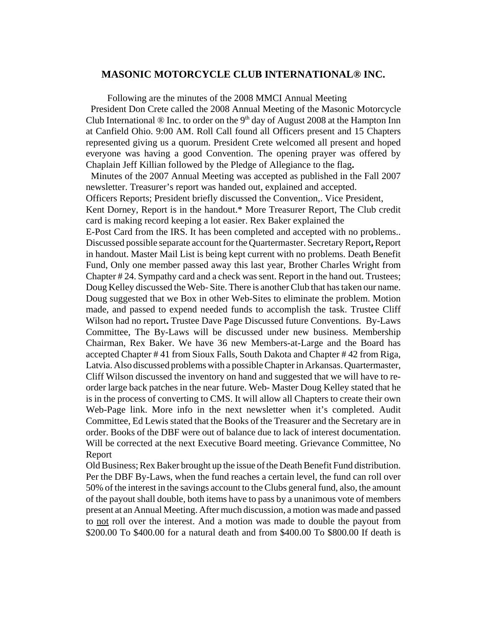## **MASONIC MOTORCYCLE CLUB INTERNATIONAL® INC.**

Following are the minutes of the 2008 MMCI Annual Meeting President Don Crete called the 2008 Annual Meeting of the Masonic Motorcycle Club International  $\otimes$  Inc. to order on the 9<sup>th</sup> day of August 2008 at the Hampton Inn at Canfield Ohio. 9:00 AM. Roll Call found all Officers present and 15 Chapters represented giving us a quorum. President Crete welcomed all present and hoped everyone was having a good Convention. The opening prayer was offered by Chaplain Jeff Killian followed by the Pledge of Allegiance to the flag**.**

 Minutes of the 2007 Annual Meeting was accepted as published in the Fall 2007 newsletter. Treasurer's report was handed out, explained and accepted.

Officers Reports; President briefly discussed the Convention,. Vice President,

Kent Dorney, Report is in the handout.\* More Treasurer Report, The Club credit card is making record keeping a lot easier. Rex Baker explained the

E-Post Card from the IRS. It has been completed and accepted with no problems.. Discussed possible separate account for the Quartermaster. Secretary Report**,** Report in handout. Master Mail List is being kept current with no problems. Death Benefit Fund, Only one member passed away this last year, Brother Charles Wright from Chapter # 24. Sympathy card and a check was sent. Report in the hand out. Trustees; Doug Kelley discussed the Web- Site. There is another Club that has taken our name. Doug suggested that we Box in other Web-Sites to eliminate the problem. Motion made, and passed to expend needed funds to accomplish the task. Trustee Cliff Wilson had no report**.** Trustee Dave Page Discussed future Conventions. By-Laws Committee, The By-Laws will be discussed under new business. Membership Chairman, Rex Baker. We have 36 new Members-at-Large and the Board has accepted Chapter # 41 from Sioux Falls, South Dakota and Chapter # 42 from Riga, Latvia. Also discussed problems with a possible Chapter in Arkansas. Quartermaster, Cliff Wilson discussed the inventory on hand and suggested that we will have to reorder large back patches in the near future. Web- Master Doug Kelley stated that he is in the process of converting to CMS. It will allow all Chapters to create their own Web-Page link. More info in the next newsletter when it's completed. Audit Committee, Ed Lewis stated that the Books of the Treasurer and the Secretary are in order. Books of the DBF were out of balance due to lack of interest documentation. Will be corrected at the next Executive Board meeting. Grievance Committee, No Report

Old Business; Rex Baker brought up the issue of the Death Benefit Fund distribution. Per the DBF By-Laws, when the fund reaches a certain level, the fund can roll over 50% of the interest in the savings account to the Clubs general fund, also, the amount of the payout shall double, both items have to pass by a unanimous vote of members present at an Annual Meeting. After much discussion, a motion was made and passed to not roll over the interest. And a motion was made to double the payout from \$200.00 To \$400.00 for a natural death and from \$400.00 To \$800.00 If death is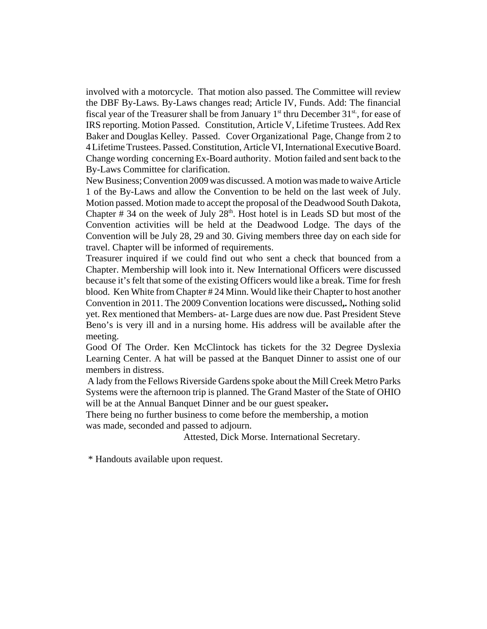involved with a motorcycle. That motion also passed. The Committee will review the DBF By-Laws. By-Laws changes read; Article IV, Funds. Add: The financial fiscal year of the Treasurer shall be from January  $1<sup>st</sup>$  thru December 31 $<sup>st</sup>$ , for ease of</sup> IRS reporting. Motion Passed. Constitution, Article V, Lifetime Trustees. Add Rex Baker and Douglas Kelley. Passed. Cover Organizational Page, Change from 2 to 4 Lifetime Trustees. Passed. Constitution, Article VI, International Executive Board. Change wording concerning Ex-Board authority. Motion failed and sent back to the By-Laws Committee for clarification.

New Business; Convention 2009 was discussed. A motion was made to waive Article 1 of the By-Laws and allow the Convention to be held on the last week of July. Motion passed. Motion made to accept the proposal of the Deadwood South Dakota, Chapter  $# 34$  on the week of July  $28<sup>th</sup>$ . Host hotel is in Leads SD but most of the Convention activities will be held at the Deadwood Lodge. The days of the Convention will be July 28, 29 and 30. Giving members three day on each side for travel. Chapter will be informed of requirements.

Treasurer inquired if we could find out who sent a check that bounced from a Chapter. Membership will look into it. New International Officers were discussed because it's felt that some of the existing Officers would like a break. Time for fresh blood. Ken White from Chapter # 24 Minn. Would like their Chapter to host another Convention in 2011. The 2009 Convention locations were discussed**,.** Nothing solid yet. Rex mentioned that Members- at- Large dues are now due. Past President Steve Beno's is very ill and in a nursing home. His address will be available after the meeting.

Good Of The Order. Ken McClintock has tickets for the 32 Degree Dyslexia Learning Center. A hat will be passed at the Banquet Dinner to assist one of our members in distress.

A lady from the Fellows Riverside Gardens spoke about the Mill Creek Metro Parks Systems were the afternoon trip is planned. The Grand Master of the State of OHIO will be at the Annual Banquet Dinner and be our guest speaker**.**

There being no further business to come before the membership, a motion was made, seconded and passed to adjourn.

Attested, Dick Morse. International Secretary.

\* Handouts available upon request.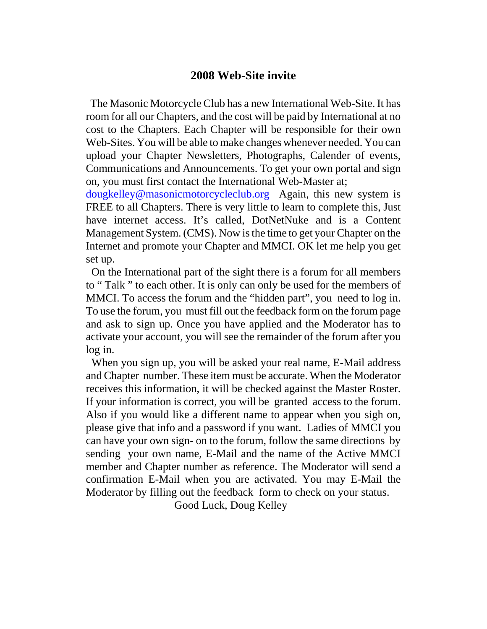## **2008 Web-Site invite**

 The Masonic Motorcycle Club has a new International Web-Site. It has room for all our Chapters, and the cost will be paid by International at no cost to the Chapters. Each Chapter will be responsible for their own Web-Sites. You will be able to make changes whenever needed. You can upload your Chapter Newsletters, Photographs, Calender of events, Communications and Announcements. To get your own portal and sign on, you must first contact the International Web-Master at;

dougkelley@masonicmotorcycleclub.org Again, this new system is FREE to all Chapters. There is very little to learn to complete this, Just have internet access. It's called, DotNetNuke and is a Content Management System. (CMS). Now is the time to get your Chapter on the Internet and promote your Chapter and MMCI. OK let me help you get set up.

 On the International part of the sight there is a forum for all members to " Talk " to each other. It is only can only be used for the members of MMCI. To access the forum and the "hidden part", you need to log in. To use the forum, you must fill out the feedback form on the forum page and ask to sign up. Once you have applied and the Moderator has to activate your account, you will see the remainder of the forum after you log in.

 When you sign up, you will be asked your real name, E-Mail address and Chapter number. These item must be accurate. When the Moderator receives this information, it will be checked against the Master Roster. If your information is correct, you will be granted access to the forum. Also if you would like a different name to appear when you sigh on, please give that info and a password if you want. Ladies of MMCI you can have your own sign- on to the forum, follow the same directions by sending your own name, E-Mail and the name of the Active MMCI member and Chapter number as reference. The Moderator will send a confirmation E-Mail when you are activated. You may E-Mail the Moderator by filling out the feedback form to check on your status.

Good Luck, Doug Kelley